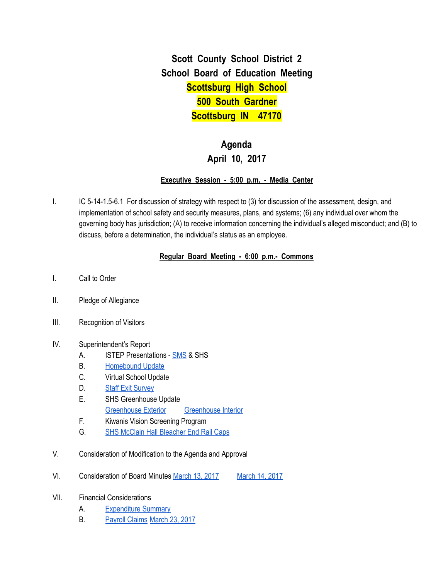**Scott County School District 2 School Board of Education Meeting Scottsburg High School 500 South Gardner Scottsburg IN 47170**

# **Agenda April 10, 2017**

### **Executive Session - 5:00 p.m. - Media Center**

I. IC 5-14-1.5-6.1 For discussion of strategy with respect to (3) for discussion of the assessment, design, and implementation of school safety and security measures, plans, and systems; (6) any individual over whom the governing body has jurisdiction; (A) to receive information concerning the individual's alleged misconduct; and (B) to discuss, before a determination, the individual's status as an employee.

### **Regular Board Meeting - 6:00 p.m.- Commons**

- I. Call to Order
- II. Pledge of Allegiance
- III. Recognition of Visitors
- IV. Superintendent's Report
	- A. ISTEP Presentations [SMS](https://docs.google.com/presentation/d/1LPCWULNuew5v63LdJ31unA83i2RrHOCykh1Rsl7lPGg/edit#slide=id.p) & SHS
	- B. [Homebound](https://docs.google.com/spreadsheets/d/1iijctXiCuGTflWkrRxYH2uE16le8NnCVqMbuWjannMk/edit#gid=0) Update
	- C. Virtual School Update
	- D. Staff Exit [Survey](https://docs.google.com/spreadsheets/d/1jsrz2Iix2pFjkdDjQYMPYhhU4jlBC6EAY89wl9Qzwtg/edit#gid=0)
	- E. SHS Greenhouse Update [Greenhouse](https://drive.google.com/file/d/0BxXvxnGh3EX1OHJpMFc2WDRMRnBMeUc3MV9iZjVDQU9lTXhV/view) Exterior Greenhouse Interior
	- F. Kiwanis Vision Screening Program
	- G. SHS McClain Hall [Bleacher](https://drive.google.com/file/d/0BxXvxnGh3EX1bWNYRjIzVmNpMUlIMnd4MzBZUm5MSGVfWTgw/view) End Rail Caps
- V. Consideration of Modification to the Agenda and Approval
- VI. Consideration of Board Minutes [March](https://docs.google.com/document/d/1IBCOBn0BOT-Vutt10Mv6U9c_tZmsffC2Yq92e-VKDpE/edit) 13, 2017 March 14, 2017
- VII. Financial Considerations
	- A. [Expenditure](https://drive.google.com/file/d/0BxXvxnGh3EX1aGIzYUVRZE1famp1cGFvOFlwUnF5TFVuNzQ0/view) Summary
	- B. [Payroll](https://drive.google.com/file/d/0BxXvxnGh3EX1S3dkMEJKbXJSTTZzY1lOOWRFcDJ4YlFUZGNF/view) Claims [March](https://drive.google.com/file/d/0BxXvxnGh3EX1RU9aV1hXRjJNUDVOUmVJalNXdEpjN1BhNHVN/view) 23, 2017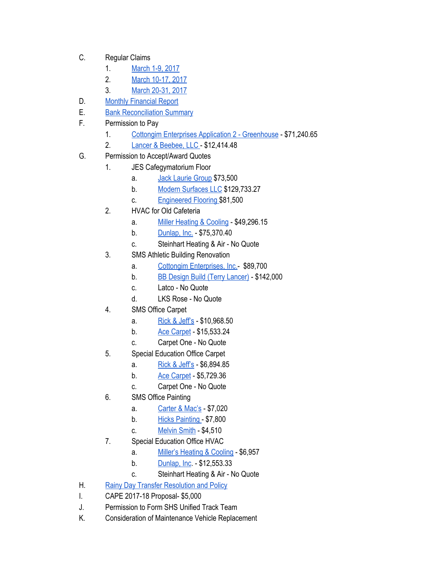- C. Regular Claims
	- 1. [March](https://drive.google.com/file/d/0BxXvxnGh3EX1RmVHVk96SFQzcXFYOElfNnVUblNsVVRDQmU0/view) 1-9, 2017
	- 2. March [10-17,](https://drive.google.com/file/d/0BxXvxnGh3EX1Vnl6MXVZQkdhUW8tdmVIZGpoSS1mT19jZHpJ/view) 2017
	- 3. March [20-31,](https://drive.google.com/file/d/0BxXvxnGh3EX1M1N3VDc5N2tCeE1vWW1WaUZ2QmNMTVltcXpB/view) 2017
- D. Monthly [Financial](https://drive.google.com/file/d/0BxXvxnGh3EX1QTA1dmtoZzhldm9JU21FUVN5ajl5YWpRN1FJ/view) Report
- E. **Bank [Reconciliation](https://drive.google.com/file/d/0BxXvxnGh3EX1NGtlQzVleVRiT2ltclhVaEhIRi02MFNMaldN/view) Summary**
- F. Permission to Pay
	- 1. Cottongim Enterprises Application 2 [Greenhouse](https://drive.google.com/file/d/0BxXvxnGh3EX1X3NKOWZ3YVg5bzdBMVFKY3IyUUt5SDJrS25J/view) \$71,240.65
	- 2. Lancer & [Beebee,](https://drive.google.com/file/d/0BxXvxnGh3EX1Y21oYnFsaHN3ZnFGZm1EQkJURW1yQWRNVmQ0/view) LLC \$12,414.48
- G. Permission to Accept/Award Quotes
	- 1. JES Cafegymatorium Floor
		- a. Jack [Laurie](https://drive.google.com/file/d/0BxXvxnGh3EX1RmswU0h4RUQyNWdIWk96UkZqZXp2UzY2OFRN/view) Group \$73,500
		- b. Modern [Surfaces](https://drive.google.com/file/d/0BxXvxnGh3EX1WGIxdU5iVTE1ZVJTTE84TUc2cmJhTk1hdFNV/view) LLC \$129,733.27
		- c. [Engineered](https://drive.google.com/file/d/0BxXvxnGh3EX1M1VvbS1MdUNqOE1ISFBLdTBPQkVaR3F0UGxB/view) Flooring \$81,500
	- 2. HVAC for Old Cafeteria
		- a. Miller [Heating](https://drive.google.com/file/d/0BxXvxnGh3EX1V2ptM3pFZnI5TjVmWEFZa0FSZnhhWW94X0h3/view) & Cooling \$49,296.15
		- b. [Dunlap,](https://drive.google.com/file/d/0BxXvxnGh3EX1SDg4ZmdxS2REdXI4TFpQX3BoSy1zZkRtT3VV/view) Inc. \$75,370.40
		- c. Steinhart Heating & Air No Quote
	- 3. SMS Athletic Building Renovation
		- a. Cottongim [Enterprises,](https://drive.google.com/file/d/0BxXvxnGh3EX1R1BrU1R5OTF5aDR6U3VvY3NVaFZvd1lTb2tF/view) Inc.- \$89,700
		- b. BB Design Build (Terry [Lancer\)](https://drive.google.com/file/d/0BxXvxnGh3EX1dmhTMmVNNXpOcGNpYWw3NFRVUTdPampxcms0/view) \$142,000
		- c. Latco No Quote
		- d. LKS Rose No Quote
	- 4. SMS Office Carpet
		- a. Rick & [Jeff's](https://drive.google.com/file/d/0BxXvxnGh3EX1cldIa05GRlhaZXprdEpBd1UxUnZxd2oxSjBJ/view) \$10,968.50
		- b. Ace [Carpet](https://drive.google.com/file/d/0BxXvxnGh3EX1NFVXbDJNYXo0ODZ2cm5jZEpsYnFIb0gtSFlR/view) \$15,533.24
		- c. Carpet One No Quote
	- 5. Special Education Office Carpet
		- a. Rick & [Jeff's](https://drive.google.com/file/d/0BxXvxnGh3EX1clU5OUFTbEdsZy1jWTFPckdvSmk1dkI3MjlZ/view) \$6,894.85
		- b. Ace [Carpet](https://drive.google.com/file/d/0BxXvxnGh3EX1cWFXeHR5QUFXd3dhUjI1czRrSFBmMnRUWlQ0/view) \$5,729.36
		- c. Carpet One No Quote
	- 6. SMS Office Painting
		- a. [Carter](https://drive.google.com/file/d/0BxXvxnGh3EX1elFUdjFNX01JWk4weFpPOTUzaHBPcGc5ak9r/view) & Mac's \$7,020
		- b. Hicks [Painting](https://drive.google.com/file/d/0BxXvxnGh3EX1TEhrZFFjU01IS2t2VVpueWdzS2ZwQm5aNTE0/view) \$7,800
		- c. [Melvin](https://drive.google.com/file/d/0BxXvxnGh3EX1bERINmRUWjBadDRnc0dXdEpKQVhhcnZmTmsw/view) Smith \$4,510
	- 7. Special Education Office HVAC
		- a. Miller's [Heating](https://drive.google.com/file/d/0BxXvxnGh3EX1SjU1ZTNTUEU2NklMRnU3S1ZfWmJqMVFPMXdV/view) & Cooling \$6,957
		- b. [Dunlap,](https://drive.google.com/file/d/0BxXvxnGh3EX1QldCN0JaWWdadWN1U3FRMTA1Skh5NGZWWE9j/view) Inc. \$12,553.33
		- c. Steinhart Heating & Air No Quote
- H. Rainy Day Transfer [Resolution](https://drive.google.com/file/d/0BxXvxnGh3EX1QmxDeUZLSDBrRU02aVN6Y0JmYVJIZGhQYURz/view) and Policy
- I. CAPE 2017-18 Proposal- \$5,000
- J. Permission to Form SHS Unified Track Team
- K. Consideration of Maintenance Vehicle Replacement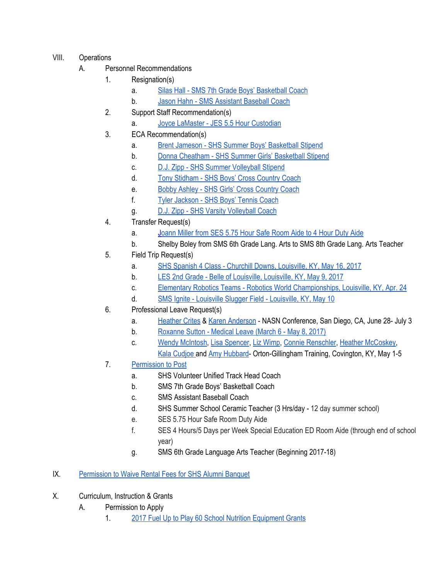## VIII. Operations

- A. Personnel Recommendations
	- 1. Resignation(s)
		- a. Silas Hall SMS 7th Grade Boys' [Basketball](https://drive.google.com/file/d/0BxXvxnGh3EX1X1VLaHdBMG13VEtVbUVjaEhMREJXejZoYlM0/view) Coach
		- b. Jason Hahn SMS [Assistant](https://drive.google.com/file/d/0BxXvxnGh3EX1WEpzRWlaM2ZxN3N3NnZCSjFyWnJUU21KZEpj/view) Baseball Coach
	- 2. Support Staff Recommendation(s)
		- a. Joyce LaMaster JES 5.5 Hour [Custodian](https://drive.google.com/file/d/0BxXvxnGh3EX1MGhOMEUtajRMYlJrMjg2UlF0MFk1QjdramVZ/view)
	- 3. ECA Recommendation(s)
		- a. Brent Jameson SHS Summer Boys' [Basketball](https://drive.google.com/file/d/0BxXvxnGh3EX1SXhLWElFMFYtb1ZNOFlOeEJpb0RhRElmd2pn/view) Stipend
		- b. Donna Cheatham SHS Summer Girls' [Basketball](https://drive.google.com/file/d/0BxXvxnGh3EX1VzVHbEk1TkFFOWZEYXF0N2VDdkhlelppeHhZ/view) Stipend
		- c. D.J. Zipp SHS Summer [Volleyball](https://drive.google.com/file/d/0BxXvxnGh3EX1SjRrMjVBZjRVbXMzT1YxWW5Mc05RemFnYVVn/view) Stipend
		- d. Tony [Stidham](https://drive.google.com/file/d/0BxXvxnGh3EX1bTRXWEVER0lKWlJZbmw4em02RWx4ZFlrR1Rn/view) SHS Boys' Cross Country Coach
		- e. Bobby Ashley SHS Girls' Cross [Country](https://drive.google.com/file/d/0BxXvxnGh3EX1OVljQlQ2NVhPQ2hwYXE3NE1NSFFQN3RDRlRZ/view) Coach
		- f. Tyler [Jackson](https://drive.google.com/file/d/0BxXvxnGh3EX1c2VqaVA3SVJ0TkRLcUNlNkVPOWM2SS0zSnJV/view) SHS Boys' Tennis Coach
		- g. D.J. Zipp SHS Varsity [Volleyball](https://drive.google.com/file/d/0BxXvxnGh3EX1WEVuY0l3TEtXT2p1d0M0NGJka2hLZWlOZjZN/view) Coach
	- 4. Transfer Request(s)
		- a. Joann Miller from SES 5.75 Hour Safe [Room](https://drive.google.com/file/d/0BxXvxnGh3EX1Y0txYWQyV09sUmkxZDJyNkh2ZFBwa0NadGhJ/view) Aide to 4 Hour Duty Aide
		- b. Shelby Boley from SMS 6th Grade Lang. Arts to SMS 8th Grade Lang. Arts Teacher
	- 5. Field Trip Request(s)
		- a. SHS Spanish 4 Class Churchill Downs, [Louisville,](https://drive.google.com/file/d/0BxXvxnGh3EX1OU8yc1VEQlZOc0JIcFo3U0FWZUoxaTRoaF93/view) KY, May 16, 2017
		- b. LES 2nd Grade Belle of [Louisville,](https://drive.google.com/file/d/0BxXvxnGh3EX1NE4yOUlBdmFGS1ZPd0JxRW9KQkF1X01HZ3Mw/view) Louisville, KY, May 9, 2017
		- c. Elementary Robotics Teams Robotics World [Championships,](https://drive.google.com/file/d/0BxXvxnGh3EX1a2ZmdjAyZW5uVjJ4bVZtQkJHREJKc0ZqbUFR/view) Louisville, KY, Apr. 24
		- d. SMS Ignite Louisville Slugger Field [Louisville,](https://drive.google.com/file/d/0BxXvxnGh3EX1Y1FLN1EwRXRycTdwbkpzUmRkM2lrbnZPZXBN/view) KY, May 10
	- 6. Professional Leave Request(s)
		- a. [Heather](https://drive.google.com/file/d/0BxXvxnGh3EX1b0VSU0JCZENFYzVoSXhWNzdxNjhrSGpoTFNr/view) Crites & Karen [Anderson](https://drive.google.com/file/d/0BxXvxnGh3EX1QzRCNnVFR0EtQ202M3p3QlVtMFNoZHJhS3JJ/view) NASN Conference, San Diego, CA, June 28- July 3
		- b. [Roxanne](https://drive.google.com/file/d/0BxXvxnGh3EX1SzNEdW1VQ1NtT2xpTnREUXJhWU5seXRYY05v/view) Sutton Medical Leave (March 6 May 8, 2017)
		- c. Wendy [McIntosh,](https://drive.google.com/file/d/0BxXvxnGh3EX1MHlvY0VObDNBNGh3dzVJakNaZUtORC1hdnhr/view) Lisa [Spencer,](https://drive.google.com/file/d/0BxXvxnGh3EX1OHp2blpZSnFqbklkSWlYY25TWW1sR0hsV040/view) Liz [Wimp,](https://drive.google.com/file/d/0BxXvxnGh3EX1X3NKOWZ3YVg5bzdBMVFKY3IyUUt5SDJrS25J/view) Connie [Renschler,](https://drive.google.com/file/d/0BxXvxnGh3EX1cjZXaVFzUEhKUVE3Z21abGZGd29HOE1XQXZr/view) Heather [McCoskey,](https://drive.google.com/file/d/0BxXvxnGh3EX1a0V5cDh5bjBubk94SGVVX0Ffa2VVNC1ncFN3/view) Kala [Cudjoe](https://drive.google.com/file/d/0BxXvxnGh3EX1Wm1Bb3lPUC1rUnF6SVhhaTZqaUhqNzFudE1R/view) and Amy [Hubbard](https://drive.google.com/file/d/0BxXvxnGh3EX1SzNPcnkzcE9WUFRsNjE3RjI0enpnUHF5N1o4/view)- Orton-Gillingham Training, Covington, KY, May 1-5
	- 7. [Permission](https://docs.google.com/document/d/1xnvH04m9Bo7xR3dkk6fcFrBjxh2NUpIp3le_R8W3MZY/edit) to Post
		- a. SHS Volunteer Unified Track Head Coach
		- b. SMS 7th Grade Boys' Basketball Coach
		- c. SMS Assistant Baseball Coach
		- d. SHS Summer School Ceramic Teacher (3 Hrs/day 12 day summer school)
		- e. SES 5.75 Hour Safe Room Duty Aide
		- f. SES 4 Hours/5 Days per Week Special Education ED Room Aide (through end of school year)
		- g. SMS 6th Grade Language Arts Teacher (Beginning 2017-18)

IX. [Permission](https://drive.google.com/file/d/0BxXvxnGh3EX1LVlSZ1VmZDNNc2ptcDY0UkZIbnFDMlFwRjFr/view) to Waive Rental Fees for SHS Alumni Banquet

- X. Curriculum, Instruction & Grants
	- A. Permission to Apply
		- 1. 2017 Fuel Up to Play 60 School Nutrition [Equipment](https://drive.google.com/file/d/0BxXvxnGh3EX1TW9DbTc5X0JQOTkzWnNRX3ltbVRoOW4xWTlV/view) Grants